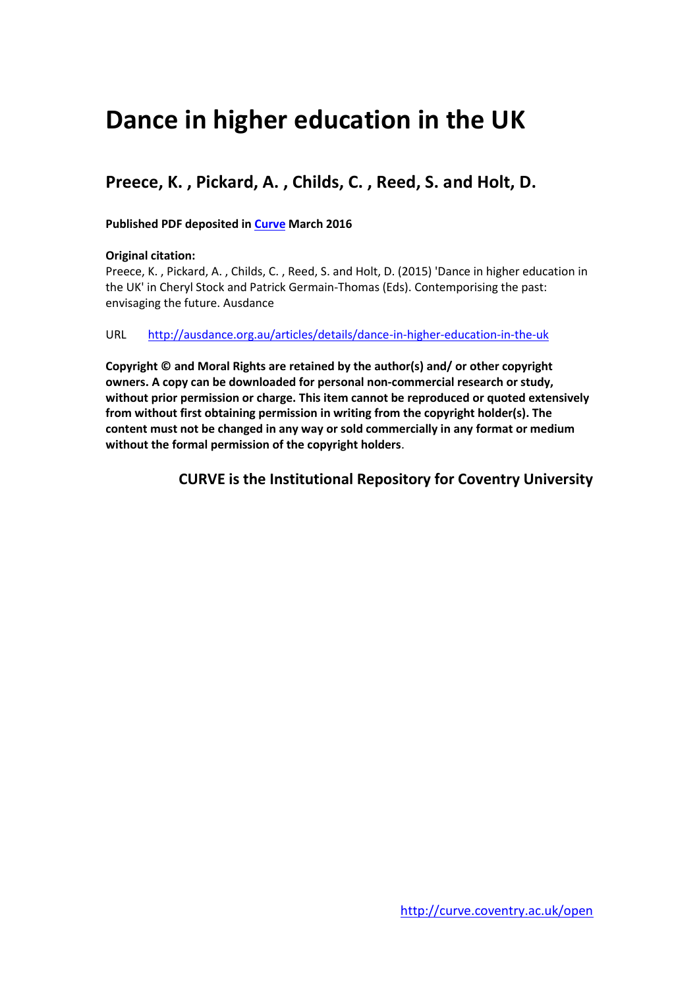# **Dance in higher education in the UK**

## **Preece, K. , Pickard, A. , Childs, C. , Reed, S. and Holt, D.**

#### **Published PDF deposited in [Curve](http://curve.coventry.ac.uk/open) March 2016**

#### **Original citation:**

Preece, K. , Pickard, A. , Childs, C. , Reed, S. and Holt, D. (2015) 'Dance in higher education in the UK' in Cheryl Stock and Patrick Germain-Thomas (Eds). Contemporising the past: envisaging the future. Ausdance

#### URL <http://ausdance.org.au/articles/details/dance-in-higher-education-in-the-uk>

**Copyright © and Moral Rights are retained by the author(s) and/ or other copyright owners. A copy can be downloaded for personal non-commercial research or study, without prior permission or charge. This item cannot be reproduced or quoted extensively from without first obtaining permission in writing from the copyright holder(s). The content must not be changed in any way or sold commercially in any format or medium without the formal permission of the copyright holders**.

**CURVE is the Institutional Repository for Coventry University**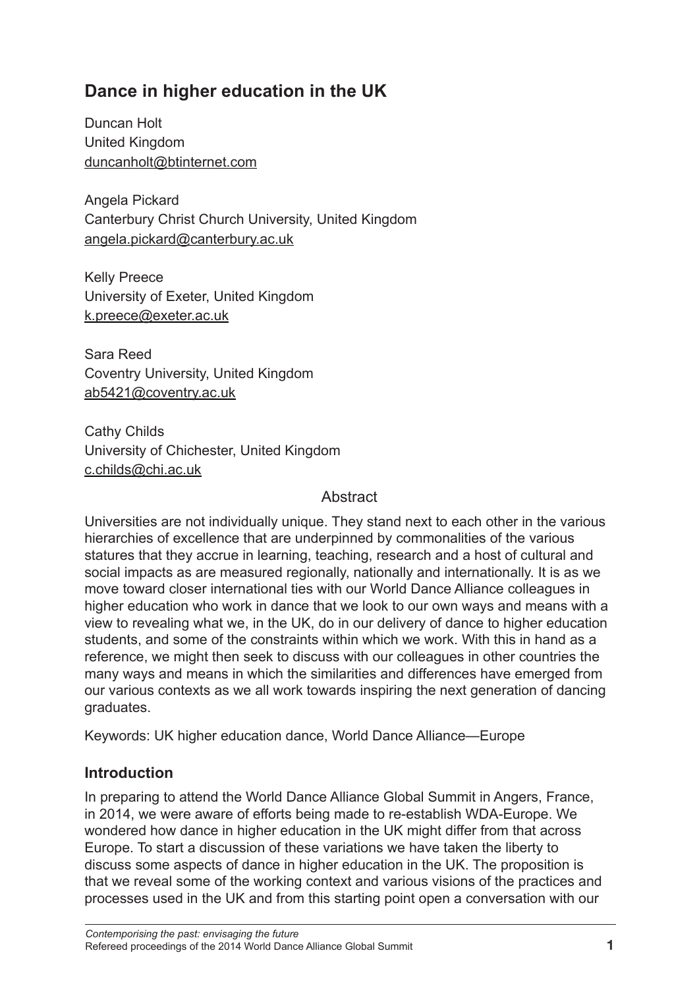# **Dance in higher education in the UK**

Duncan Holt United Kingdom duncanholt@btinternet.com

Angela Pickard Canterbury Christ Church University, United Kingdom angela.pickard@canterbury.ac.uk

Kelly Preece University of Exeter, United Kingdom k.preece@exeter.ac.uk

Sara Reed Coventry University, United Kingdom ab5421@coventry.ac.uk

Cathy Childs University of Chichester, United Kingdom c.childs@chi.ac.uk

#### **Abstract**

Universities are not individually unique. They stand next to each other in the various hierarchies of excellence that are underpinned by commonalities of the various statures that they accrue in learning, teaching, research and a host of cultural and social impacts as are measured regionally, nationally and internationally. It is as we move toward closer international ties with our World Dance Alliance colleagues in higher education who work in dance that we look to our own ways and means with a view to revealing what we, in the UK, do in our delivery of dance to higher education students, and some of the constraints within which we work. With this in hand as a reference, we might then seek to discuss with our colleagues in other countries the many ways and means in which the similarities and differences have emerged from our various contexts as we all work towards inspiring the next generation of dancing graduates.

Keywords: UK higher education dance, World Dance Alliance—Europe

## **Introduction**

In preparing to attend the World Dance Alliance Global Summit in Angers, France, in 2014, we were aware of efforts being made to re-establish WDA-Europe. We wondered how dance in higher education in the UK might differ from that across Europe. To start a discussion of these variations we have taken the liberty to discuss some aspects of dance in higher education in the UK. The proposition is that we reveal some of the working context and various visions of the practices and processes used in the UK and from this starting point open a conversation with our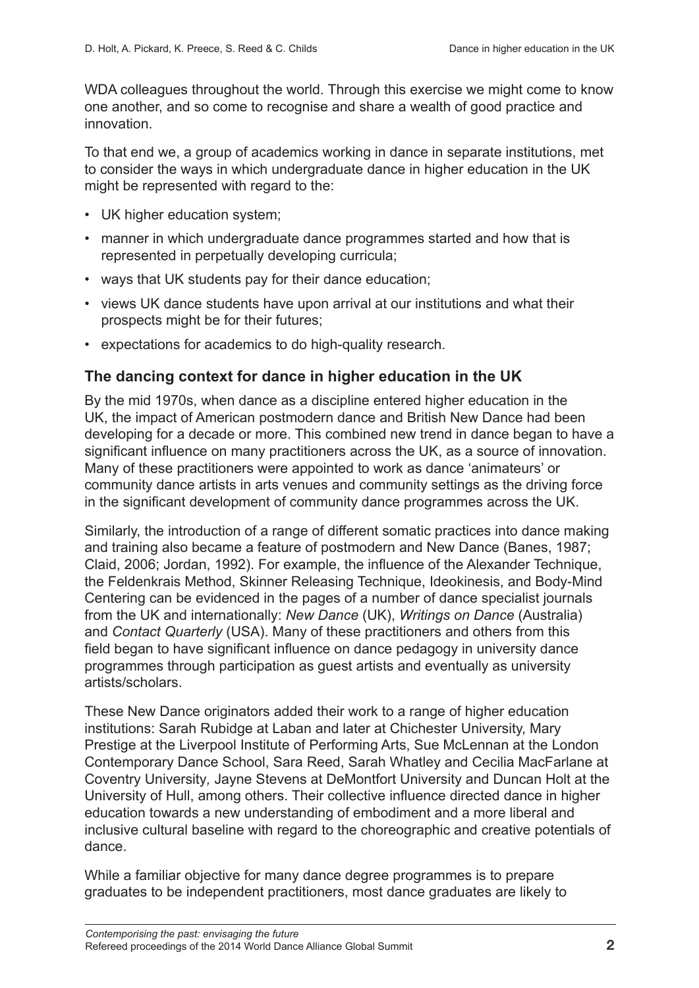WDA colleagues throughout the world. Through this exercise we might come to know one another, and so come to recognise and share a wealth of good practice and innovation.

To that end we, a group of academics working in dance in separate institutions, met to consider the ways in which undergraduate dance in higher education in the UK might be represented with regard to the:

- UK higher education system;
- manner in which undergraduate dance programmes started and how that is represented in perpetually developing curricula;
- ways that UK students pay for their dance education;
- views UK dance students have upon arrival at our institutions and what their prospects might be for their futures;
- expectations for academics to do high-quality research.

#### **The dancing context for dance in higher education in the UK**

By the mid 1970s, when dance as a discipline entered higher education in the UK, the impact of American postmodern dance and British New Dance had been developing for a decade or more. This combined new trend in dance began to have a significant influence on many practitioners across the UK, as a source of innovation. Many of these practitioners were appointed to work as dance 'animateurs' or community dance artists in arts venues and community settings as the driving force in the significant development of community dance programmes across the UK.

Similarly, the introduction of a range of different somatic practices into dance making and training also became a feature of postmodern and New Dance (Banes, 1987; Claid, 2006; Jordan, 1992). For example, the influence of the Alexander Technique, the Feldenkrais Method, Skinner Releasing Technique, Ideokinesis, and Body-Mind Centering can be evidenced in the pages of a number of dance specialist journals from the UK and internationally: *New Dance* (UK), *Writings on Dance* (Australia) and *Contact Quarterly* (USA). Many of these practitioners and others from this field began to have significant influence on dance pedagogy in university dance programmes through participation as guest artists and eventually as university artists/scholars.

These New Dance originators added their work to a range of higher education institutions: Sarah Rubidge at Laban and later at Chichester University, Mary Prestige at the Liverpool Institute of Performing Arts, Sue McLennan at the London Contemporary Dance School, Sara Reed, Sarah Whatley and Cecilia MacFarlane at Coventry University*,* Jayne Stevens at DeMontfort University and Duncan Holt at the University of Hull, among others. Their collective influence directed dance in higher education towards a new understanding of embodiment and a more liberal and inclusive cultural baseline with regard to the choreographic and creative potentials of dance.

While a familiar objective for many dance degree programmes is to prepare graduates to be independent practitioners, most dance graduates are likely to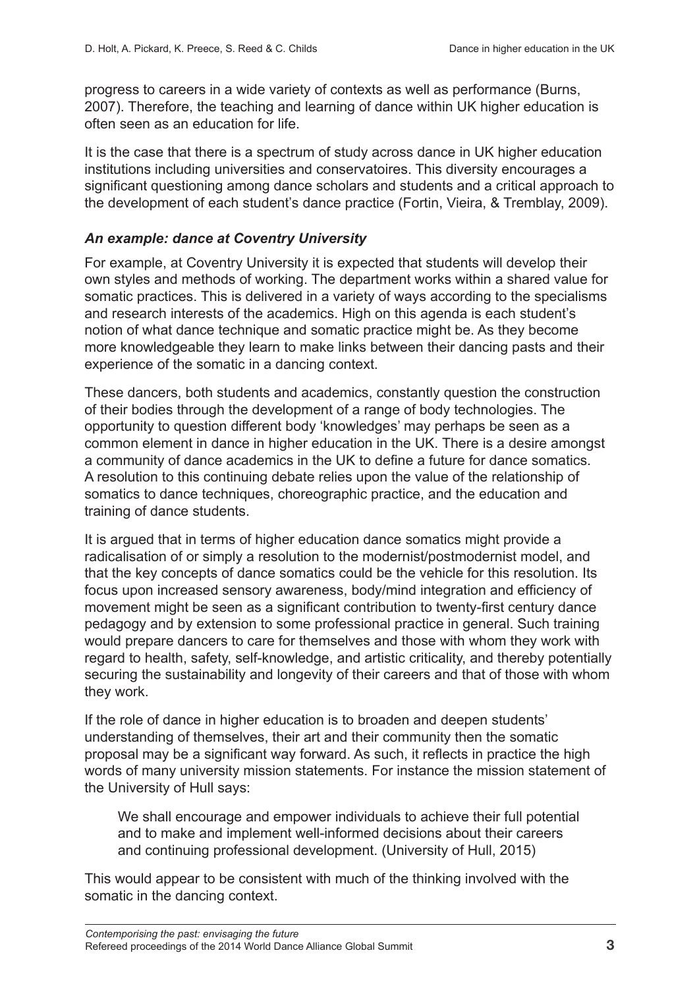progress to careers in a wide variety of contexts as well as performance (Burns, 2007). Therefore, the teaching and learning of dance within UK higher education is often seen as an education for life.

It is the case that there is a spectrum of study across dance in UK higher education institutions including universities and conservatoires. This diversity encourages a significant questioning among dance scholars and students and a critical approach to the development of each student's dance practice (Fortin, Vieira, & Tremblay, 2009).

#### *An example: dance at Coventry University*

For example, at Coventry University it is expected that students will develop their own styles and methods of working. The department works within a shared value for somatic practices. This is delivered in a variety of ways according to the specialisms and research interests of the academics. High on this agenda is each student's notion of what dance technique and somatic practice might be. As they become more knowledgeable they learn to make links between their dancing pasts and their experience of the somatic in a dancing context.

These dancers, both students and academics, constantly question the construction of their bodies through the development of a range of body technologies. The opportunity to question different body 'knowledges' may perhaps be seen as a common element in dance in higher education in the UK. There is a desire amongst a community of dance academics in the UK to define a future for dance somatics. A resolution to this continuing debate relies upon the value of the relationship of somatics to dance techniques, choreographic practice, and the education and training of dance students.

It is argued that in terms of higher education dance somatics might provide a radicalisation of or simply a resolution to the modernist/postmodernist model, and that the key concepts of dance somatics could be the vehicle for this resolution. Its focus upon increased sensory awareness, body/mind integration and efficiency of movement might be seen as a significant contribution to twenty-first century dance pedagogy and by extension to some professional practice in general. Such training would prepare dancers to care for themselves and those with whom they work with regard to health, safety, self-knowledge, and artistic criticality, and thereby potentially securing the sustainability and longevity of their careers and that of those with whom they work.

If the role of dance in higher education is to broaden and deepen students' understanding of themselves, their art and their community then the somatic proposal may be a significant way forward. As such, it reflects in practice the high words of many university mission statements. For instance the mission statement of the University of Hull says:

We shall encourage and empower individuals to achieve their full potential and to make and implement well-informed decisions about their careers and continuing professional development. (University of Hull, 2015)

This would appear to be consistent with much of the thinking involved with the somatic in the dancing context.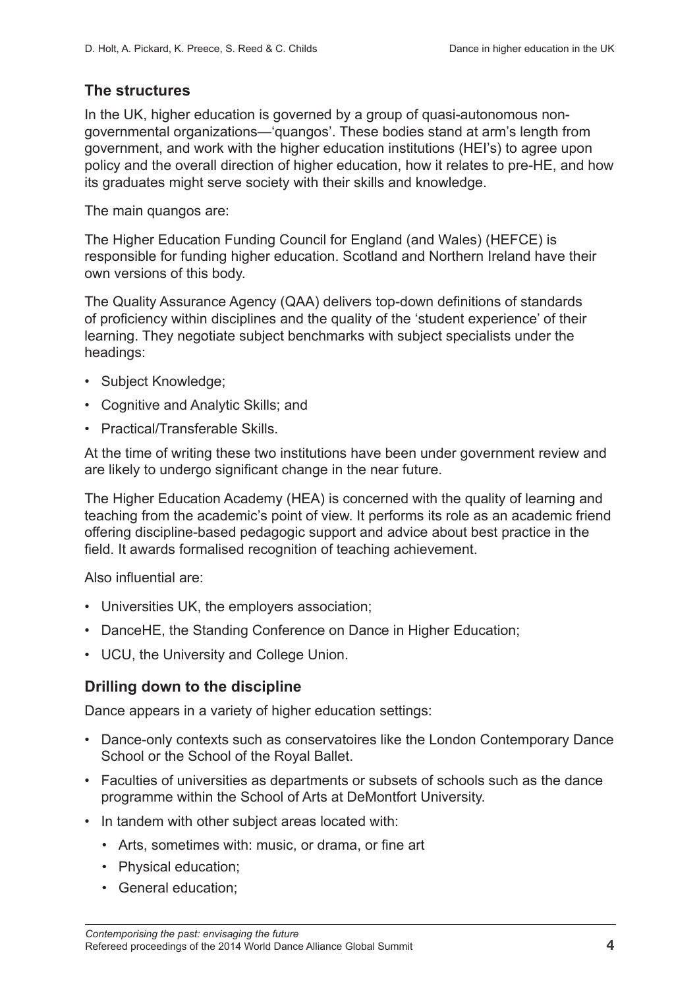#### **The structures**

In the UK, higher education is governed by a group of quasi-autonomous nongovernmental organizations—'quangos'. These bodies stand at arm's length from government, and work with the higher education institutions (HEI's) to agree upon policy and the overall direction of higher education, how it relates to pre-HE, and how its graduates might serve society with their skills and knowledge.

The main quangos are:

The Higher Education Funding Council for England (and Wales) (HEFCE) is responsible for funding higher education. Scotland and Northern Ireland have their own versions of this body.

The Quality Assurance Agency (QAA) delivers top-down definitions of standards of proficiency within disciplines and the quality of the 'student experience' of their learning. They negotiate subject benchmarks with subject specialists under the headings:

- Subject Knowledge;
- Cognitive and Analytic Skills; and
- Practical/Transferable Skills.

At the time of writing these two institutions have been under government review and are likely to undergo significant change in the near future.

The Higher Education Academy (HEA) is concerned with the quality of learning and teaching from the academic's point of view. It performs its role as an academic friend offering discipline-based pedagogic support and advice about best practice in the field. It awards formalised recognition of teaching achievement.

Also influential are:

- Universities UK, the employers association;
- DanceHE, the Standing Conference on Dance in Higher Education;
- UCU, the University and College Union.

#### **Drilling down to the discipline**

Dance appears in a variety of higher education settings:

- Dance-only contexts such as conservatoires like the London Contemporary Dance School or the School of the Royal Ballet.
- Faculties of universities as departments or subsets of schools such as the dance programme within the School of Arts at DeMontfort University.
- In tandem with other subject areas located with:
	- Arts, sometimes with: music, or drama, or fine art
	- Physical education;
	- General education;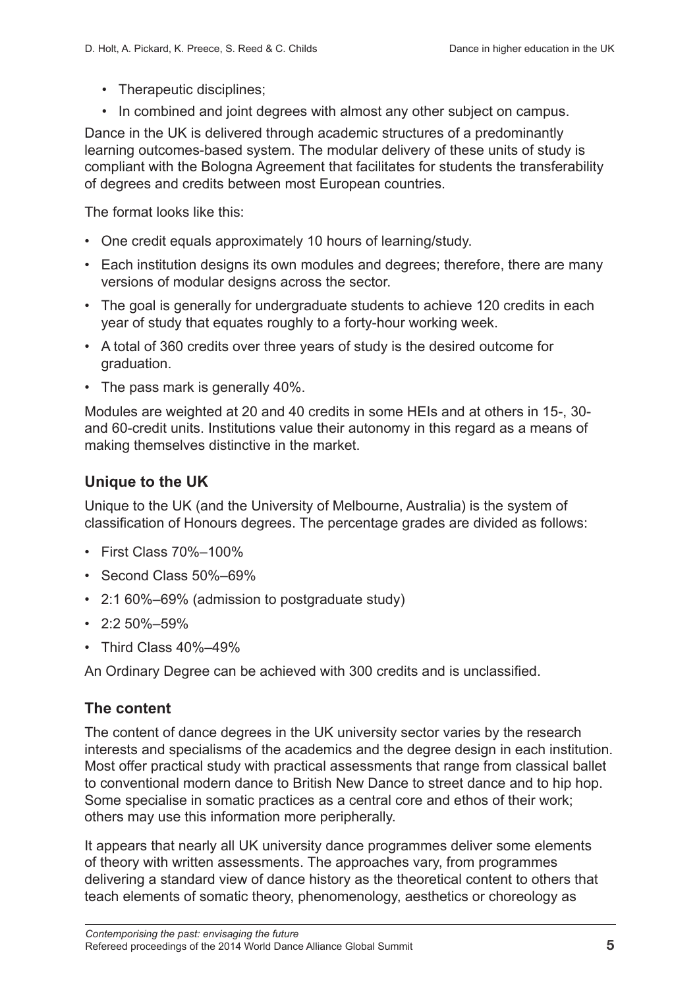- Therapeutic disciplines;
- In combined and joint degrees with almost any other subject on campus.

Dance in the UK is delivered through academic structures of a predominantly learning outcomes-based system. The modular delivery of these units of study is compliant with the Bologna Agreement that facilitates for students the transferability of degrees and credits between most European countries.

The format looks like this:

- One credit equals approximately 10 hours of learning/study.
- Each institution designs its own modules and degrees; therefore, there are many versions of modular designs across the sector.
- The goal is generally for undergraduate students to achieve 120 credits in each year of study that equates roughly to a forty-hour working week.
- A total of 360 credits over three years of study is the desired outcome for graduation.
- The pass mark is generally 40%.

Modules are weighted at 20 and 40 credits in some HEIs and at others in 15-, 30 and 60-credit units. Institutions value their autonomy in this regard as a means of making themselves distinctive in the market.

## **Unique to the UK**

Unique to the UK (and the University of Melbourne, Australia) is the system of classification of Honours degrees. The percentage grades are divided as follows:

- First Class 70%–100%
- Second Class 50%–69%
- 2:1 60%–69% (admission to postgraduate study)
- $\cdot$  2:2 50%–59%
- Third Class 40%–49%

An Ordinary Degree can be achieved with 300 credits and is unclassified.

#### **The content**

The content of dance degrees in the UK university sector varies by the research interests and specialisms of the academics and the degree design in each institution. Most offer practical study with practical assessments that range from classical ballet to conventional modern dance to British New Dance to street dance and to hip hop. Some specialise in somatic practices as a central core and ethos of their work; others may use this information more peripherally.

It appears that nearly all UK university dance programmes deliver some elements of theory with written assessments. The approaches vary, from programmes delivering a standard view of dance history as the theoretical content to others that teach elements of somatic theory, phenomenology, aesthetics or choreology as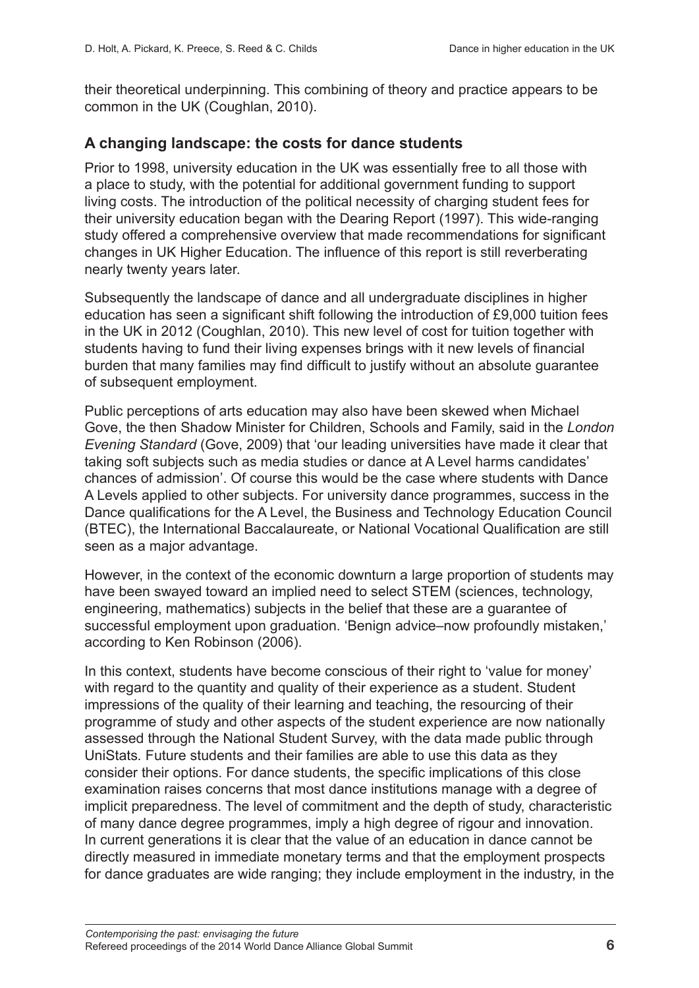their theoretical underpinning. This combining of theory and practice appears to be common in the UK (Coughlan, 2010).

#### **A changing landscape: the costs for dance students**

Prior to 1998, university education in the UK was essentially free to all those with a place to study, with the potential for additional government funding to support living costs. The introduction of the political necessity of charging student fees for their university education began with the Dearing Report (1997). This wide-ranging study offered a comprehensive overview that made recommendations for significant changes in UK Higher Education. The influence of this report is still reverberating nearly twenty years later.

Subsequently the landscape of dance and all undergraduate disciplines in higher education has seen a significant shift following the introduction of £9,000 tuition fees in the UK in 2012 (Coughlan, 2010). This new level of cost for tuition together with students having to fund their living expenses brings with it new levels of financial burden that many families may find difficult to justify without an absolute guarantee of subsequent employment.

Public perceptions of arts education may also have been skewed when Michael Gove, the then Shadow Minister for Children, Schools and Family, said in the *London Evening Standard* (Gove, 2009) that 'our leading universities have made it clear that taking soft subjects such as media studies or dance at A Level harms candidates' chances of admission'. Of course this would be the case where students with Dance A Levels applied to other subjects. For university dance programmes, success in the Dance qualifications for the A Level, the Business and Technology Education Council (BTEC), the International Baccalaureate, or National Vocational Qualification are still seen as a major advantage.

However, in the context of the economic downturn a large proportion of students may have been swayed toward an implied need to select STEM (sciences, technology, engineering, mathematics) subjects in the belief that these are a guarantee of successful employment upon graduation. 'Benign advice–now profoundly mistaken,' according to Ken Robinson (2006).

In this context, students have become conscious of their right to 'value for money' with regard to the quantity and quality of their experience as a student. Student impressions of the quality of their learning and teaching, the resourcing of their programme of study and other aspects of the student experience are now nationally assessed through the National Student Survey, with the data made public through UniStats*.* Future students and their families are able to use this data as they consider their options. For dance students, the specific implications of this close examination raises concerns that most dance institutions manage with a degree of implicit preparedness. The level of commitment and the depth of study, characteristic of many dance degree programmes, imply a high degree of rigour and innovation. In current generations it is clear that the value of an education in dance cannot be directly measured in immediate monetary terms and that the employment prospects for dance graduates are wide ranging; they include employment in the industry, in the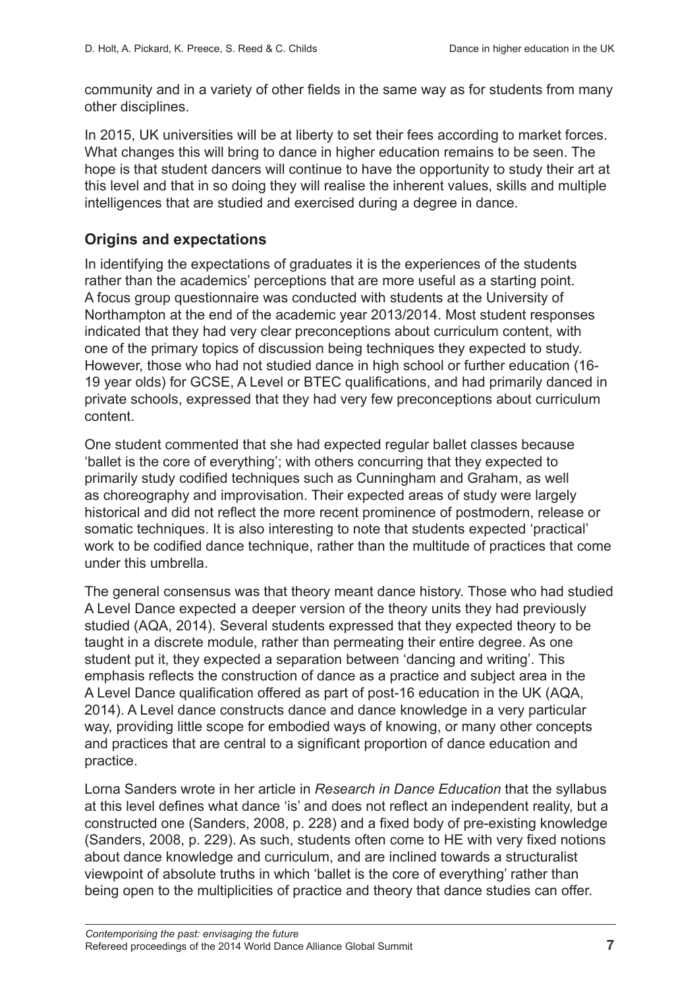community and in a variety of other fields in the same way as for students from many other disciplines.

In 2015, UK universities will be at liberty to set their fees according to market forces. What changes this will bring to dance in higher education remains to be seen. The hope is that student dancers will continue to have the opportunity to study their art at this level and that in so doing they will realise the inherent values, skills and multiple intelligences that are studied and exercised during a degree in dance.

## **Origins and expectations**

In identifying the expectations of graduates it is the experiences of the students rather than the academics' perceptions that are more useful as a starting point. A focus group questionnaire was conducted with students at the University of Northampton at the end of the academic year 2013/2014. Most student responses indicated that they had very clear preconceptions about curriculum content, with one of the primary topics of discussion being techniques they expected to study. However, those who had not studied dance in high school or further education (16- 19 year olds) for GCSE, A Level or BTEC qualifications, and had primarily danced in private schools, expressed that they had very few preconceptions about curriculum content.

One student commented that she had expected regular ballet classes because 'ballet is the core of everything'; with others concurring that they expected to primarily study codified techniques such as Cunningham and Graham, as well as choreography and improvisation. Their expected areas of study were largely historical and did not reflect the more recent prominence of postmodern, release or somatic techniques. It is also interesting to note that students expected 'practical' work to be codified dance technique, rather than the multitude of practices that come under this umbrella.

The general consensus was that theory meant dance history. Those who had studied A Level Dance expected a deeper version of the theory units they had previously studied (AQA, 2014). Several students expressed that they expected theory to be taught in a discrete module, rather than permeating their entire degree. As one student put it, they expected a separation between 'dancing and writing'. This emphasis reflects the construction of dance as a practice and subject area in the A Level Dance qualification offered as part of post-16 education in the UK (AQA, 2014). A Level dance constructs dance and dance knowledge in a very particular way, providing little scope for embodied ways of knowing, or many other concepts and practices that are central to a significant proportion of dance education and practice.

Lorna Sanders wrote in her article in *Research in Dance Education* that the syllabus at this level defines what dance 'is' and does not reflect an independent reality, but a constructed one (Sanders, 2008, p. 228) and a fixed body of pre-existing knowledge (Sanders, 2008, p. 229). As such, students often come to HE with very fixed notions about dance knowledge and curriculum, and are inclined towards a structuralist viewpoint of absolute truths in which 'ballet is the core of everything' rather than being open to the multiplicities of practice and theory that dance studies can offer.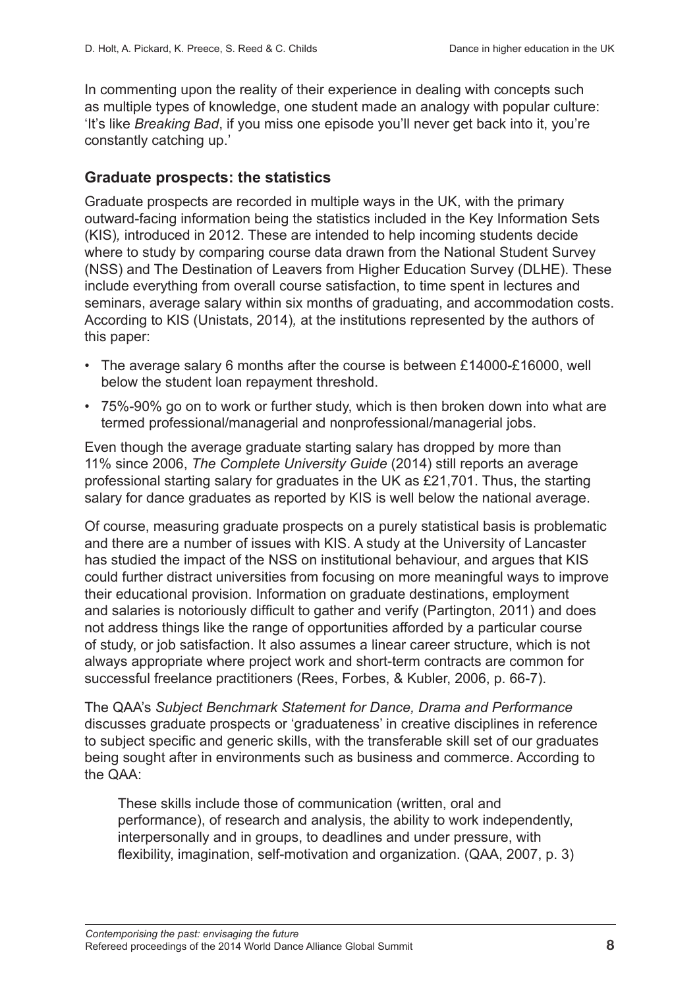In commenting upon the reality of their experience in dealing with concepts such as multiple types of knowledge, one student made an analogy with popular culture: 'It's like *Breaking Bad*, if you miss one episode you'll never get back into it, you're constantly catching up.'

#### **Graduate prospects: the statistics**

Graduate prospects are recorded in multiple ways in the UK, with the primary outward-facing information being the statistics included in the Key Information Sets (KIS)*,* introduced in 2012. These are intended to help incoming students decide where to study by comparing course data drawn from the National Student Survey (NSS) and The Destination of Leavers from Higher Education Survey (DLHE). These include everything from overall course satisfaction, to time spent in lectures and seminars, average salary within six months of graduating, and accommodation costs. According to KIS (Unistats, 2014)*,* at the institutions represented by the authors of this paper:

- The average salary 6 months after the course is between £14000-£16000, well below the student loan repayment threshold.
- 75%-90% go on to work or further study, which is then broken down into what are termed professional/managerial and nonprofessional/managerial jobs.

Even though the average graduate starting salary has dropped by more than 11% since 2006, *The Complete University Guide* (2014) still reports an average professional starting salary for graduates in the UK as £21,701. Thus, the starting salary for dance graduates as reported by KIS is well below the national average.

Of course, measuring graduate prospects on a purely statistical basis is problematic and there are a number of issues with KIS. A study at the University of Lancaster has studied the impact of the NSS on institutional behaviour, and argues that KIS could further distract universities from focusing on more meaningful ways to improve their educational provision. Information on graduate destinations, employment and salaries is notoriously difficult to gather and verify (Partington, 2011) and does not address things like the range of opportunities afforded by a particular course of study, or job satisfaction. It also assumes a linear career structure, which is not always appropriate where project work and short-term contracts are common for successful freelance practitioners (Rees, Forbes, & Kubler, 2006, p. 66-7).

The QAA's *Subject Benchmark Statement for Dance, Drama and Performance* discusses graduate prospects or 'graduateness' in creative disciplines in reference to subject specific and generic skills, with the transferable skill set of our graduates being sought after in environments such as business and commerce. According to the QAA:

These skills include those of communication (written, oral and performance), of research and analysis, the ability to work independently, interpersonally and in groups, to deadlines and under pressure, with flexibility, imagination, self-motivation and organization. (QAA, 2007, p. 3)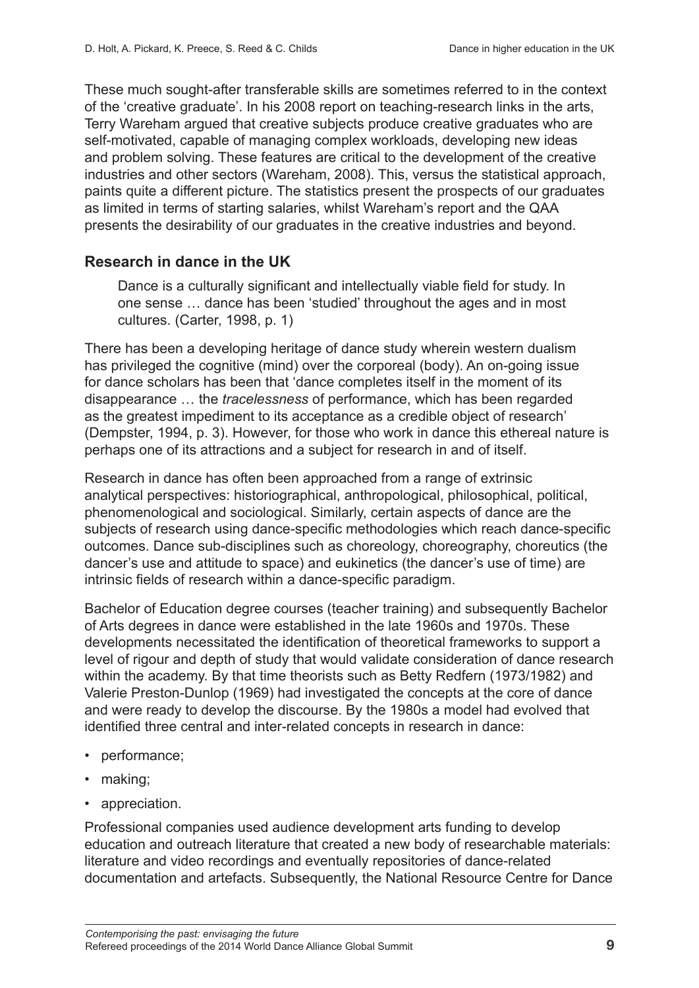These much sought-after transferable skills are sometimes referred to in the context of the 'creative graduate'. In his 2008 report on teaching-research links in the arts, Terry Wareham argued that creative subjects produce creative graduates who are self-motivated, capable of managing complex workloads, developing new ideas and problem solving. These features are critical to the development of the creative industries and other sectors (Wareham, 2008). This, versus the statistical approach, paints quite a different picture. The statistics present the prospects of our graduates as limited in terms of starting salaries, whilst Wareham's report and the QAA presents the desirability of our graduates in the creative industries and beyond.

#### **Research in dance in the UK**

Dance is a culturally significant and intellectually viable field for study. In one sense … dance has been 'studied' throughout the ages and in most cultures. (Carter, 1998, p. 1)

There has been a developing heritage of dance study wherein western dualism has privileged the cognitive (mind) over the corporeal (body). An on-going issue for dance scholars has been that 'dance completes itself in the moment of its disappearance … the *tracelessness* of performance, which has been regarded as the greatest impediment to its acceptance as a credible object of research' (Dempster, 1994, p. 3). However, for those who work in dance this ethereal nature is perhaps one of its attractions and a subject for research in and of itself.

Research in dance has often been approached from a range of extrinsic analytical perspectives: historiographical, anthropological, philosophical, political, phenomenological and sociological. Similarly, certain aspects of dance are the subjects of research using dance-specific methodologies which reach dance-specific outcomes. Dance sub-disciplines such as choreology, choreography, choreutics (the dancer's use and attitude to space) and eukinetics (the dancer's use of time) are intrinsic fields of research within a dance-specific paradigm.

Bachelor of Education degree courses (teacher training) and subsequently Bachelor of Arts degrees in dance were established in the late 1960s and 1970s. These developments necessitated the identification of theoretical frameworks to support a level of rigour and depth of study that would validate consideration of dance research within the academy. By that time theorists such as Betty Redfern (1973/1982) and Valerie Preston-Dunlop (1969) had investigated the concepts at the core of dance and were ready to develop the discourse. By the 1980s a model had evolved that identified three central and inter-related concepts in research in dance:

- performance;
- making;
- appreciation.

Professional companies used audience development arts funding to develop education and outreach literature that created a new body of researchable materials: literature and video recordings and eventually repositories of dance-related documentation and artefacts. Subsequently, the National Resource Centre for Dance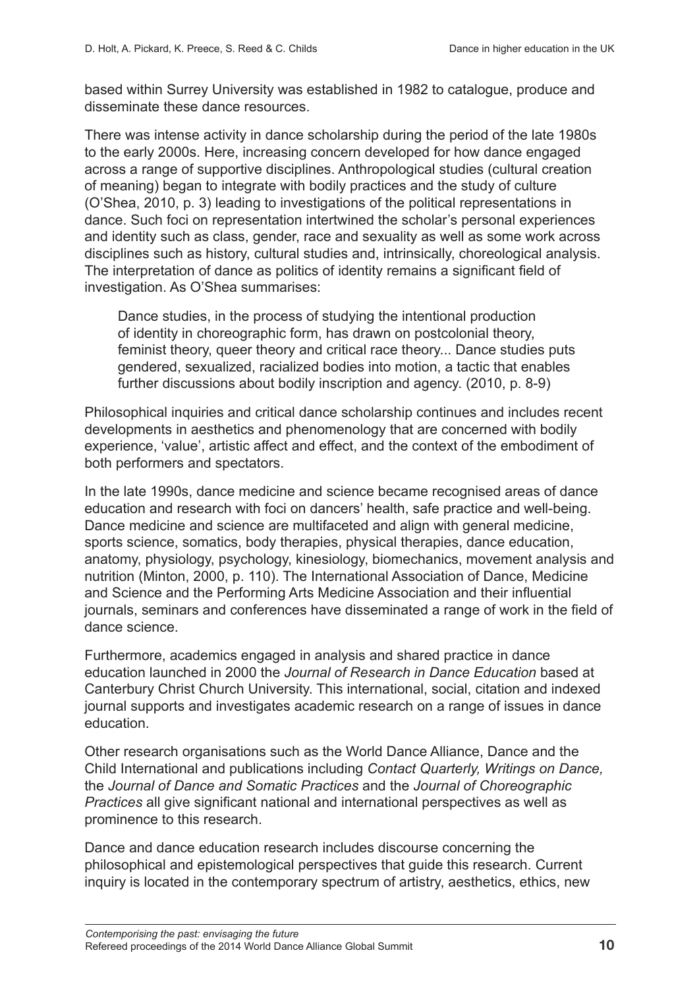based within Surrey University was established in 1982 to catalogue, produce and disseminate these dance resources.

There was intense activity in dance scholarship during the period of the late 1980s to the early 2000s. Here, increasing concern developed for how dance engaged across a range of supportive disciplines. Anthropological studies (cultural creation of meaning) began to integrate with bodily practices and the study of culture (O'Shea, 2010, p. 3) leading to investigations of the political representations in dance. Such foci on representation intertwined the scholar's personal experiences and identity such as class, gender, race and sexuality as well as some work across disciplines such as history, cultural studies and, intrinsically, choreological analysis. The interpretation of dance as politics of identity remains a significant field of investigation. As O'Shea summarises:

Dance studies, in the process of studying the intentional production of identity in choreographic form, has drawn on postcolonial theory, feminist theory, queer theory and critical race theory... Dance studies puts gendered, sexualized, racialized bodies into motion, a tactic that enables further discussions about bodily inscription and agency. (2010, p. 8-9)

Philosophical inquiries and critical dance scholarship continues and includes recent developments in aesthetics and phenomenology that are concerned with bodily experience, 'value', artistic affect and effect, and the context of the embodiment of both performers and spectators.

In the late 1990s, dance medicine and science became recognised areas of dance education and research with foci on dancers' health, safe practice and well-being. Dance medicine and science are multifaceted and align with general medicine, sports science, somatics, body therapies, physical therapies, dance education, anatomy, physiology, psychology, kinesiology, biomechanics, movement analysis and nutrition (Minton, 2000, p. 110). The International Association of Dance, Medicine and Science and the Performing Arts Medicine Association and their influential journals, seminars and conferences have disseminated a range of work in the field of dance science.

Furthermore, academics engaged in analysis and shared practice in dance education launched in 2000 the *Journal of Research in Dance Education* based at Canterbury Christ Church University. This international, social, citation and indexed journal supports and investigates academic research on a range of issues in dance education.

Other research organisations such as the World Dance Alliance, Dance and the Child International and publications including *Contact Quarterly, Writings on Dance,*  the *Journal of Dance and Somatic Practices* and the *Journal of Choreographic Practices* all give significant national and international perspectives as well as prominence to this research.

Dance and dance education research includes discourse concerning the philosophical and epistemological perspectives that guide this research. Current inquiry is located in the contemporary spectrum of artistry, aesthetics, ethics, new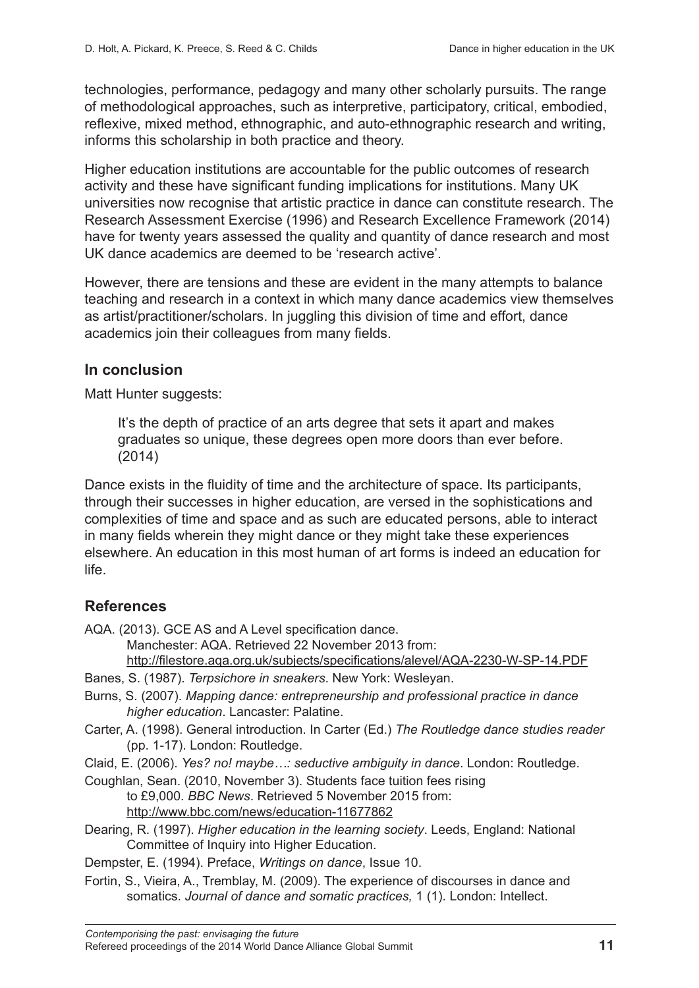technologies, performance, pedagogy and many other scholarly pursuits. The range of methodological approaches, such as interpretive, participatory, critical, embodied, reflexive, mixed method, ethnographic, and auto-ethnographic research and writing, informs this scholarship in both practice and theory.

Higher education institutions are accountable for the public outcomes of research activity and these have significant funding implications for institutions. Many UK universities now recognise that artistic practice in dance can constitute research. The Research Assessment Exercise (1996) and Research Excellence Framework (2014) have for twenty years assessed the quality and quantity of dance research and most UK dance academics are deemed to be 'research active'.

However, there are tensions and these are evident in the many attempts to balance teaching and research in a context in which many dance academics view themselves as artist/practitioner/scholars. In juggling this division of time and effort, dance academics join their colleagues from many fields.

#### **In conclusion**

Matt Hunter suggests:

It's the depth of practice of an arts degree that sets it apart and makes graduates so unique, these degrees open more doors than ever before. (2014)

Dance exists in the fluidity of time and the architecture of space. Its participants, through their successes in higher education, are versed in the sophistications and complexities of time and space and as such are educated persons, able to interact in many fields wherein they might dance or they might take these experiences elsewhere. An education in this most human of art forms is indeed an education for life.

#### **References**

AQA. (2013). GCE AS and A Level specification dance.

Manchester: AQA. Retrieved 22 November 2013 from:

<http://filestore.aqa.org.uk/subjects/specifications/alevel/AQA-2230-W-SP-14.PDF>

- Banes, S. (1987). *Terpsichore in sneakers*. New York: Wesleyan.
- Burns, S. (2007). *Mapping dance: entrepreneurship and professional practice in dance higher education*. Lancaster: Palatine.
- Carter, A. (1998). General introduction. In Carter (Ed.) *The Routledge dance studies reader*  (pp. 1-17). London: Routledge.

Claid, E. (2006). *Yes? no! maybe…: seductive ambiguity in dance*. London: Routledge.

- Coughlan, Sean. (2010, November 3). Students face tuition fees rising to £9,000. *BBC News*. Retrieved 5 November 2015 from: <http://www.bbc.com/news/education-11677862>
- Dearing, R. (1997). *Higher education in the learning society*. Leeds, England: National Committee of Inquiry into Higher Education.

Dempster, E. (1994). Preface, *Writings on dance*, Issue 10.

Fortin, S., Vieira, A., Tremblay, M. (2009). The experience of discourses in dance and somatics. *Journal of dance and somatic practices,* 1 (1). London: Intellect.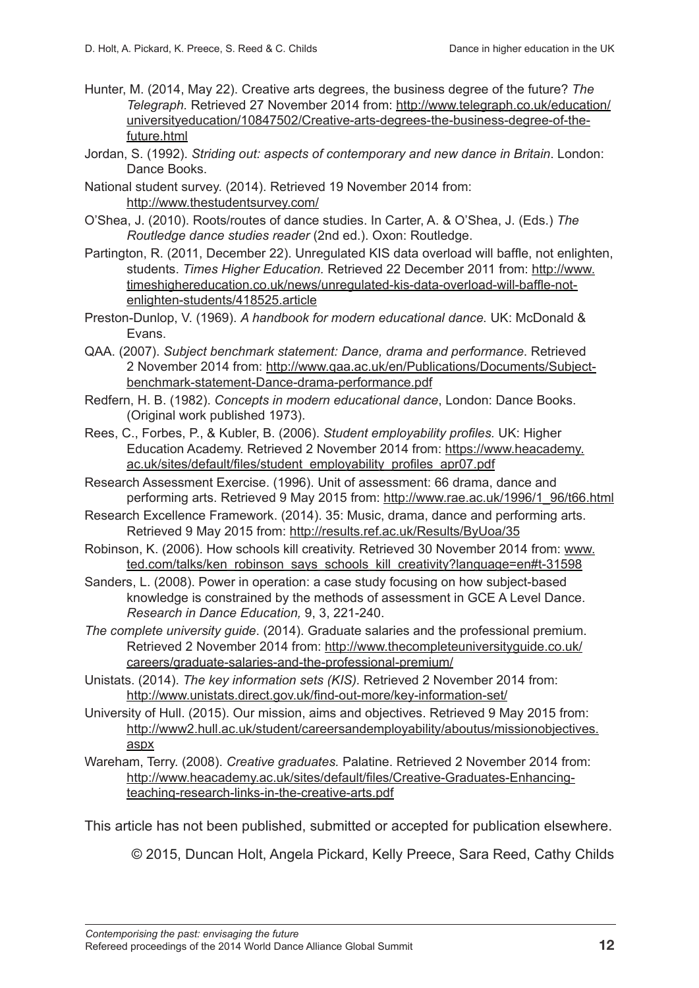- Hunter, M. (2014, May 22). Creative arts degrees, the business degree of the future? *The Telegraph.* Retrieved 27 November 2014 from: [http://www.telegraph.co.uk/education/](http://www.telegraph.co.uk/education/universityeducation/10847502/Creative-arts-degrees-the-business-degree-of-the-future.html) [universityeducation/10847502/Creative-arts-degrees-the-business-degree-of-the](http://www.telegraph.co.uk/education/universityeducation/10847502/Creative-arts-degrees-the-business-degree-of-the-future.html)[future.html](http://www.telegraph.co.uk/education/universityeducation/10847502/Creative-arts-degrees-the-business-degree-of-the-future.html)
- Jordan, S. (1992). *Striding out: aspects of contemporary and new dance in Britain*. London: Dance Books.
- National student survey. (2014). Retrieved 19 November 2014 from: <http://www.thestudentsurvey.com/>
- O'Shea, J. (2010). Roots/routes of dance studies. In Carter, A. & O'Shea, J. (Eds.) *The Routledge dance studies reader* (2nd ed.). Oxon: Routledge.
- Partington, R. (2011, December 22). Unregulated KIS data overload will baffle, not enlighten, students. *Times Higher Education.* Retrieved 22 December 2011 from: [http://www.](https://www.timeshighereducation.com/news/unregulated-kis-data-overload-will-baffle-not-enlighten-students/418525.article) [timeshighereducation.co.uk/news/unregulated-kis-data-overload-will-baffle-not](https://www.timeshighereducation.com/news/unregulated-kis-data-overload-will-baffle-not-enlighten-students/418525.article)[enlighten-students/418525.article](https://www.timeshighereducation.com/news/unregulated-kis-data-overload-will-baffle-not-enlighten-students/418525.article)
- Preston-Dunlop, V. (1969). *A handbook for modern educational dance.* UK: McDonald & Evans.
- QAA. (2007). *Subject benchmark statement: Dance, drama and performance*. Retrieved 2 November 2014 from: [http://www.qaa.ac.uk/en/Publications/Documents/Subject](http://www.qaa.ac.uk/en/Publications/Documents/Subject-benchmark-statement-Dance-drama-performance.pdf)[benchmark-statement-Dance-drama-performance.pdf](http://www.qaa.ac.uk/en/Publications/Documents/Subject-benchmark-statement-Dance-drama-performance.pdf)
- Redfern, H. B. (1982). *Concepts in modern educational dance*, London: Dance Books. (Original work published 1973).
- Rees, C., Forbes, P., & Kubler, B. (2006). *Student employability profiles.* UK: Higher Education Academy. Retrieved 2 November 2014 from: [https://www.heacademy.](https://www.heacademy.ac.uk/sites/default/files/student_employability_profiles_apr07.pdf) [ac.uk/sites/default/files/student\\_employability\\_profiles\\_apr07.pdf](https://www.heacademy.ac.uk/sites/default/files/student_employability_profiles_apr07.pdf)
- Research Assessment Exercise. (1996). Unit of assessment: 66 drama, dance and performing arts. Retrieved 9 May 2015 from: [http://www.rae.ac.uk/1996/1\\_96/t66.html](http://www.rae.ac.uk/1996/1_96/t66.html)
- Research Excellence Framework. (2014). 35: Music, drama, dance and performing arts. Retrieved 9 May 2015 from: <http://results.ref.ac.uk/Results/ByUoa/35>
- Robinson, K. (2006). How schools kill creativity. Retrieved 30 November 2014 from: [www.](http://www.ted.com/talks/ken_robinson_says_schools_kill_creativity?language=en#t-31598) [ted.com/talks/ken\\_robinson\\_says\\_schools\\_kill\\_creativity?language=en#t-31598](http://www.ted.com/talks/ken_robinson_says_schools_kill_creativity?language=en#t-31598)
- Sanders, L. (2008). Power in operation: a case study focusing on how subject-based knowledge is constrained by the methods of assessment in GCE A Level Dance. *Research in Dance Education,* 9, 3, 221-240.
- *The complete university guide*. (2014). Graduate salaries and the professional premium. Retrieved 2 November 2014 from: [http://www.thecompleteuniversityguide.co.uk/](http://www.thecompleteuniversityguide.co.uk/careers/graduate-salaries-and-the-professional-premium/) [careers/graduate-salaries-and-the-professional-premium/](http://www.thecompleteuniversityguide.co.uk/careers/graduate-salaries-and-the-professional-premium/)
- Unistats. (2014). *The key information sets (KIS).* Retrieved 2 November 2014 from: <http://www.unistats.direct.gov.uk/find-out-more/key-information-set/>
- University of Hull. (2015). Our mission, aims and objectives. Retrieved 9 May 2015 from: [http://www2.hull.ac.uk/student/careersandemployability/aboutus/missionobjectives.](http://www2.hull.ac.uk/student/careersandemployability/aboutus/missionobjectives.aspx) [aspx](http://www2.hull.ac.uk/student/careersandemployability/aboutus/missionobjectives.aspx)
- Wareham, Terry. (2008). *Creative graduates.* Palatine. Retrieved 2 November 2014 from: [http://www.heacademy.ac.uk/sites/default/files/Creative-Graduates-Enhancing](http://www.heacademy.ac.uk/sites/default/files/Creative-Graduates-Enhancing-teaching-research-links-)[teaching-research-links-in-the-creative-arts.pdf](http://www.heacademy.ac.uk/sites/default/files/Creative-Graduates-Enhancing-teaching-research-links-)

This article has not been published, submitted or accepted for publication elsewhere.

© 2015, Duncan Holt, Angela Pickard, Kelly Preece, Sara Reed, Cathy Childs